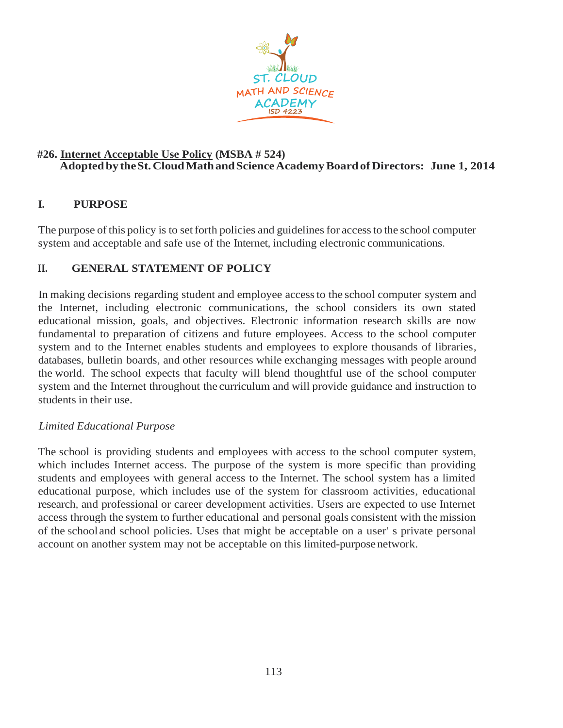

## **#26. Internet Acceptable Use Policy (MSBA # 524) AdoptedbytheSt.CloudMathandScienceAcademyBoardofDirectors: June 1, 2014**

# **I. PURPOSE**

The purpose of this policy is to set forth policies and guidelines for access to the school computer system and acceptable and safe use of the Internet, including electronic communications.

## **II. GENERAL STATEMENT OF POLICY**

In making decisions regarding student and employee accessto the school computer system and the Internet, including electronic communications, the school considers its own stated educational mission, goals, and objectives. Electronic information research skills are now fundamental to preparation of citizens and future employees. Access to the school computer system and to the Internet enables students and employees to explore thousands of libraries, databases, bulletin boards, and other resources while exchanging messages with people around the world. The school expects that faculty will blend thoughtful use of the school computer system and the Internet throughout the curriculum and will provide guidance and instruction to students in their use.

### *Limited Educational Purpose*

The school is providing students and employees with access to the school computer system, which includes Internet access. The purpose of the system is more specific than providing students and employees with general access to the Internet. The school system has a limited educational purpose, which includes use of the system for classroom activities, educational research, and professional or career development activities. Users are expected to use Internet access through the system to further educational and personal goals consistent with the mission of the school and school policies. Uses that might be acceptable on a user' s private personal account on another system may not be acceptable on this limited-purpose network.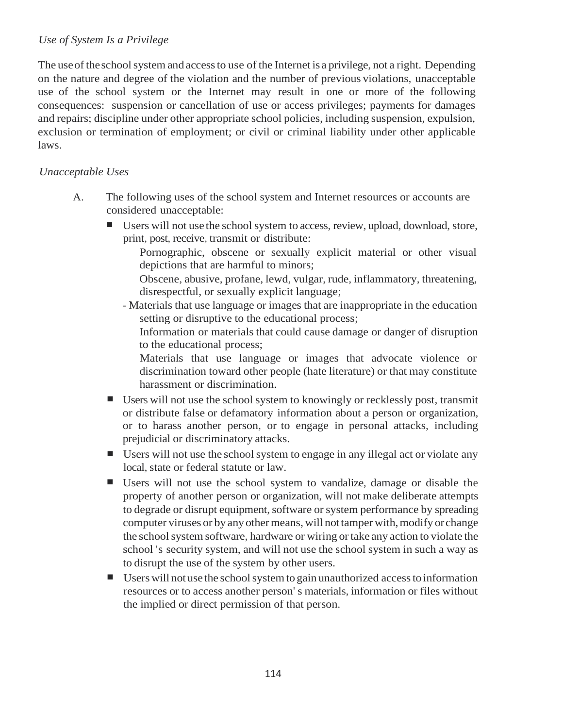## *Use of System Is a Privilege*

The use of the school system and access to use of the Internet is a privilege, not a right. Depending on the nature and degree of the violation and the number of previous violations, unacceptable use of the school system or the Internet may result in one or more of the following consequences: suspension or cancellation of use or access privileges; payments for damages and repairs; discipline under other appropriate school policies, including suspension, expulsion, exclusion or termination of employment; or civil or criminal liability under other applicable laws.

## *Unacceptable Uses*

- A. The following uses of the school system and Internet resources or accounts are considered unacceptable:
	- Users will not use the school system to access, review, upload, download, store, print, post, receive, transmit or distribute:
		- Pornographic, obscene or sexually explicit material or other visual depictions that are harmful to minors;
		- Obscene, abusive, profane, lewd, vulgar, rude, inflammatory, threatening, disrespectful, or sexually explicit language;
		- Materials that use language or images that are inappropriate in the education setting or disruptive to the educational process;
			- Information or materials that could cause damage or danger of disruption to the educational process;
			- Materials that use language or images that advocate violence or discrimination toward other people (hate literature) or that may constitute harassment or discrimination.
	- Users will not use the school system to knowingly or recklessly post, transmit or distribute false or defamatory information about a person or organization, or to harass another person, or to engage in personal attacks, including prejudicial or discriminatory attacks.
	- Users will not use the school system to engage in any illegal act or violate any local, state or federal statute or law.
	- Users will not use the school system to vandalize, damage or disable the property of another person or organization, will not make deliberate attempts to degrade or disrupt equipment, software or system performance by spreading computer viruses or by anyothermeans,will nottamper with,modify orchange the school system software, hardware or wiring or take any action to violate the school 's security system, and will not use the school system in such a way as to disrupt the use of the system by other users.
	- Users will not use the school system to gain unauthorized access to information resources or to access another person' s materials, information or files without the implied or direct permission of that person.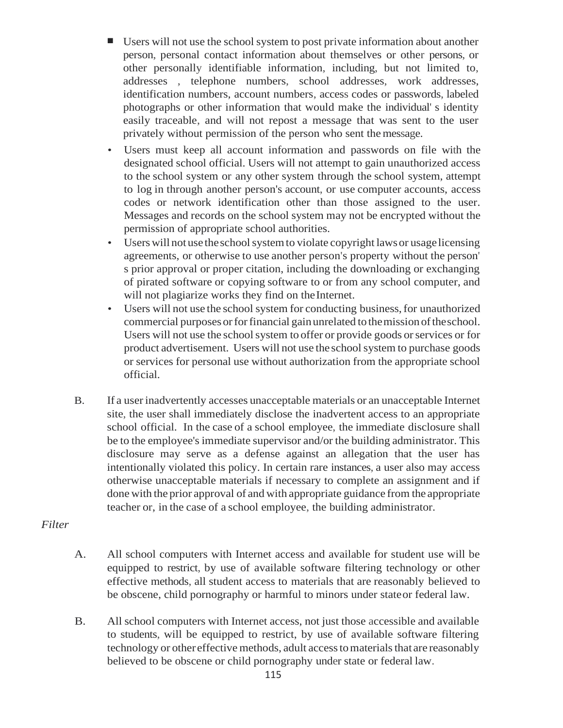- Users will not use the school system to post private information about another person, personal contact information about themselves or other persons, or other personally identifiable information, including, but not limited to, addresses , telephone numbers, school addresses, work addresses, identification numbers, account numbers, access codes or passwords, labeled photographs or other information that would make the individual' s identity easily traceable, and will not repost a message that was sent to the user privately without permission of the person who sent themessage.
- Users must keep all account information and passwords on file with the designated school official. Users will not attempt to gain unauthorized access to the school system or any other system through the school system, attempt to log in through another person's account, or use computer accounts, access codes or network identification other than those assigned to the user. Messages and records on the school system may not be encrypted without the permission of appropriate school authorities.
- Users will not use the school system to violate copyright laws or usage licensing agreements, or otherwise to use another person's property without the person' s prior approval or proper citation, including the downloading or exchanging of pirated software or copying software to or from any school computer, and will not plagiarize works they find on the Internet.
- Users will not use the school system for conducting business, for unauthorized commercial purposes or for financial gain unrelated to the mission of the school. Users will not use the school system to offer or provide goods or services or for product advertisement. Users will not use the school system to purchase goods or services for personal use without authorization from the appropriate school official.
- B. If a userinadvertently accesses unacceptable materials or an unacceptable Internet site, the user shall immediately disclose the inadvertent access to an appropriate school official. In the case of a school employee, the immediate disclosure shall be to the employee's immediate supervisor and/or the building administrator. This disclosure may serve as a defense against an allegation that the user has intentionally violated this policy. In certain rare instances, a user also may access otherwise unacceptable materials if necessary to complete an assignment and if done with the prior approval of and with appropriate guidance from the appropriate teacher or, in the case of a school employee, the building administrator.

#### *Filter*

- A. All school computers with Internet access and available for student use will be equipped to restrict, by use of available software filtering technology or other effective methods, all student access to materials that are reasonably believed to be obscene, child pornography or harmful to minors under stateor federal law.
- B. All school computers with Internet access, not just those accessible and available to students, will be equipped to restrict, by use of available software filtering technology or other effective methods, adult access to materials that are reasonably believed to be obscene or child pornography under state or federal law.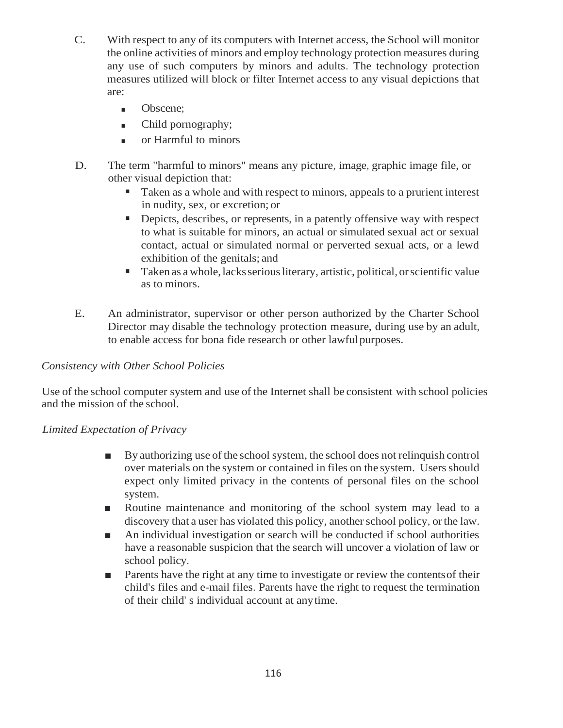- C. With respect to any of its computers with Internet access, the School will monitor the online activities of minors and employ technology protection measures during any use of such computers by minors and adults. The technology protection measures utilized will block or filter Internet access to any visual depictions that are:
	- Obscene;
	- Child pornography;
	- or Harmful to minors
- D. The term "harmful to minors" means any picture, image, graphic image file, or other visual depiction that:
	- Taken as a whole and with respect to minors, appeals to a prurient interest in nudity, sex, or excretion; or
	- Depicts, describes, or represents, in a patently offensive way with respect to what is suitable for minors, an actual or simulated sexual act or sexual contact, actual or simulated normal or perverted sexual acts, or a lewd exhibition of the genitals; and
	- Taken as a whole, lacks serious literary, artistic, political, or scientific value as to minors.
- E. An administrator, supervisor or other person authorized by the Charter School Director may disable the technology protection measure, during use by an adult, to enable access for bona fide research or other lawfulpurposes.

### *Consistency with Other School Policies*

Use of the school computer system and use of the Internet shall be consistent with school policies and the mission of the school.

### *Limited Expectation of Privacy*

- By authorizing use of the school system, the school does not relinquish control over materials on the system or contained in files on the system. Users should expect only limited privacy in the contents of personal files on the school system.
- Routine maintenance and monitoring of the school system may lead to a discovery that a user has violated this policy, another school policy, or the law.
- An individual investigation or search will be conducted if school authorities have a reasonable suspicion that the search will uncover a violation of law or school policy.
- Parents have the right at any time to investigate or review the contents of their child's files and e-mail files. Parents have the right to request the termination of their child' s individual account at anytime.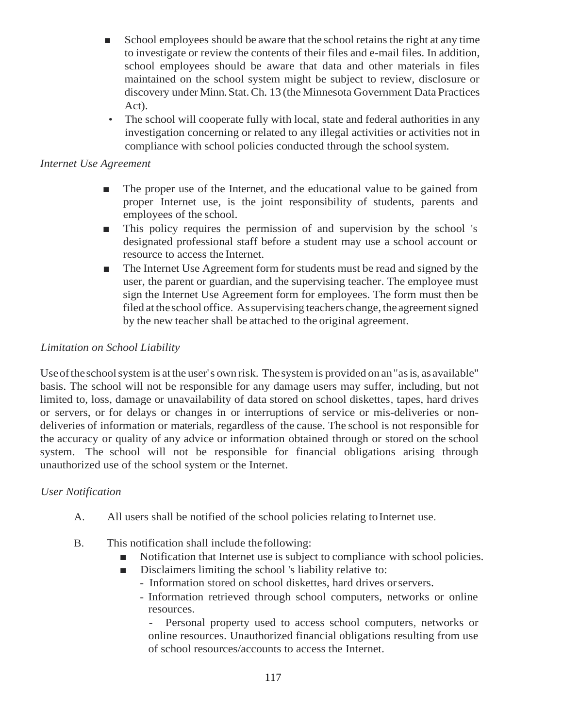- School employees should be aware that the school retains the right at any time to investigate or review the contents of their files and e-mail files. In addition, school employees should be aware that data and other materials in files maintained on the school system might be subject to review, disclosure or discovery under Minn.Stat.Ch. 13 (theMinnesota Government Data Practices Act).
- The school will cooperate fully with local, state and federal authorities in any investigation concerning or related to any illegal activities or activities not in compliance with school policies conducted through the school system.

# *Internet Use Agreement*

- The proper use of the Internet, and the educational value to be gained from proper Internet use, is the joint responsibility of students, parents and employees of the school.
- This policy requires the permission of and supervision by the school 's designated professional staff before a student may use a school account or resource to access the Internet.
- The Internet Use Agreement form for students must be read and signed by the user, the parent or guardian, and the supervising teacher. The employee must sign the Internet Use Agreement form for employees. The form must then be filed at the school office. As supervising teachers change, the agreement signed by the new teacher shall be attached to the original agreement.

# *Limitation on School Liability*

Use of the school system is at the user's own risk. The system is provided on an "as is, as available" basis. The school will not be responsible for any damage users may suffer, including, but not limited to, loss, damage or unavailability of data stored on school diskettes, tapes, hard drives or servers, or for delays or changes in or interruptions of service or mis-deliveries or nondeliveries of information or materials, regardless of the cause. The school is not responsible for the accuracy or quality of any advice or information obtained through or stored on the school system. The school will not be responsible for financial obligations arising through unauthorized use of the school system or the Internet.

### *User Notification*

- A. All users shall be notified of the school policies relating toInternet use.
- B. This notification shall include thefollowing:
	- Notification that Internet use is subject to compliance with school policies.
	- Disclaimers limiting the school 's liability relative to:
		- Information stored on school diskettes, hard drives orservers.
		- Information retrieved through school computers, networks or online resources.

Personal property used to access school computers, networks or online resources. Unauthorized financial obligations resulting from use of school resources/accounts to access the Internet.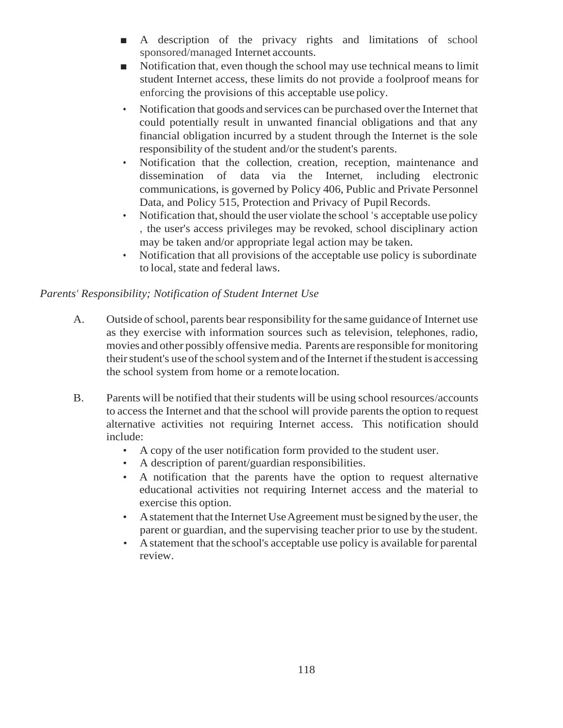- A description of the privacy rights and limitations of school sponsored/managed Internet accounts.
- Notification that, even though the school may use technical means to limit student Internet access, these limits do not provide a foolproof means for enforcing the provisions of this acceptable use policy.
- Notification that goods and services can be purchased overthe Internet that could potentially result in unwanted financial obligations and that any financial obligation incurred by a student through the Internet is the sole responsibility of the student and/or the student's parents.
- Notification that the collection, creation, reception, maintenance and dissemination of data via the Internet, including electronic communications, is governed by Policy 406, Public and Private Personnel Data, and Policy 515, Protection and Privacy of Pupil Records.
- Notification that, should the user violate the school 's acceptable use policy , the user's access privileges may be revoked, school disciplinary action may be taken and/or appropriate legal action may be taken.
- Notification that all provisions of the acceptable use policy is subordinate to local, state and federal laws.

# *Parents' Responsibility; Notification of Student Internet Use*

- A. Outside of school, parents bear responsibility for the same guidance of Internet use as they exercise with information sources such as television, telephones, radio, movies and other possibly offensive media. Parents are responsible formonitoring their student's use of the school system and of the Internet if the student is accessing the school system from home or a remotelocation.
- B. Parents will be notified that their students will be using school resources/accounts to access the Internet and that the school will provide parents the option to request alternative activities not requiring Internet access. This notification should include:
	- A copy of the user notification form provided to the student user.
	- A description of parent/guardian responsibilities.
	- A notification that the parents have the option to request alternative educational activities not requiring Internet access and the material to exercise this option.
	- A statement that the Internet Use Agreement must be signed by the user, the parent or guardian, and the supervising teacher prior to use by the student.
	- Astatement that the school's acceptable use policy is available for parental review.